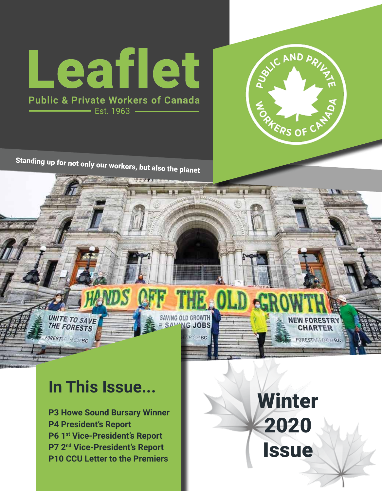



Standing up for not only our workers, but also the planet

# SAVING OLD GROWTH UNITE TO SAVE

RCHBC

# **In This Issue...**

FORESTMARCHBC

**P3 Howe Sound Bursary Winner P4 President's Report P6 1st Vice-President's Report P7 2nd Vice-President's Report P10 CCU Letter to the Premiers** 

Winter 2020 Issue

**NEW FORESTR CHARTER** 

FORESTMARCHEC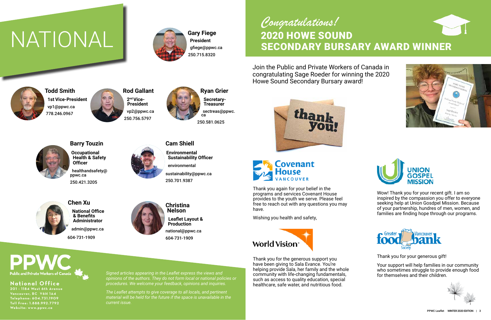**Gary Fiege President** gfiege@ppwc.ca 250.715.8320



**2nd Vice-President** vp2@ppwc.ca 250.756.5797

**Barry Touzin Occupational Health & Safety Officer** healthandsafety@ ppwc.ca 250.421.3205



**Cam Shiell Environmental Sustainability Officer** environmental

sustainability@ppwc.ca 250.701.9387



**Chen Xu National Office & Benefits Administrator** admin@ppwc.ca 604-731-1909



**Christina Nelson**

**Leaflet Layout & Production** national@ppwc.ca 604-731-1909

**Todd Smith 1st Vice-President** vp1@ppwc.ca 778.246.0967





# NATIONAL



#### **National Office**

**201 - 1184 West 6th Avenue Vancouver, BC V6H 1A4 Telephone: 604.731.1909 Toll Free: 1.888.992 .7 792 Website: www.ppwc.ca**

*Signed articles appearing in the Leaflet express the views and opinions of the authors. They do not form local or national policies or procedures. We welcome your feedback, opinions and inquiries.* 

*The Leaflet attempts to give coverage to all locals, and pertinent material will be held for the future if the space is unavailable in the current issue.*





Thank you again for your belief in the programs and services Covenant House provides to the youth we serve. Please feel free to reach out with any questions you may have.

Wishing you health and safety,



# 2020 HOWE SOUND SECONDARY BURSARY AWARD WINNER *Congratulations!*

Join the Public and Private Workers of Canada in congratulating Sage Roeder for winning the 2020 Howe Sound Secondary Bursary award!





Wow! Thank you for your recent gift. I am so inspired by the compassion you offer to everyone seeking help at Union Gosdpel Mission. Because of your partnership, hundres of men, women, and families are finding hope through our programs.



Thank you for your generous gift!

Your support will help families in our community who sometimes struggle to provide enough food for themselves and their children.



Thank you for the generous support you have been giving to Sala Evance. You're helping provide Sala, her family and the whole community with life-changing fundamentals, such as access to quality education, special healthcare, safe water, and nutritious food.

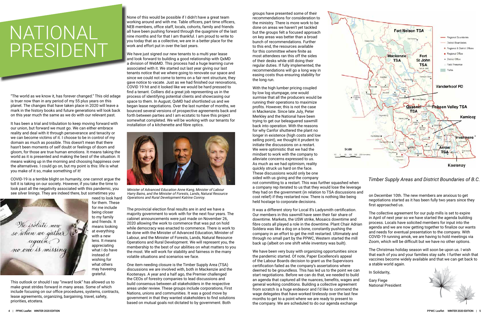"The world as we know it, has forever changed." This old adage is truer now than in any period of my 55 plus years on this planet. The changes that have taken place in 2020 will leave a mark in the history books and future generations will look back on this year much the same as we do with our relevant past.

It has been a trial and tribulation to keep moving forward with our union, but forward we must go. We can either embrace reality and deal with it through perseverance and tenacity or we can become victims of it. I choose to be in control of my domain as much as possible. This doesn't mean that there hasn't been moments of self doubt or feelings of doom and gloom, for those are true human emotions. It means taking the world as it is presented and making the best of the situation. It means waking up in the morning and choosing happiness over the alternatives. I could go on, but my point is this: life is what you make of it so, make something of it!

COVID-19 is a terrible blight on humanity, one cannot argue the toll it is taking on our society. However, if you take the time to look past all the negativity associated with this pandemic, you see silver linings. They are indeed there, but sometimes you



need to look hard

for them. These for me include being closer to my family and friends. It means looking at everything with a new lens. It means appreciating what I do have instead of wishing for what others may haveeing grateful.

This outlook or should I say "inward look" has allowed us to make great strides forward in many areas. Some of which include focusing on our office procedures, systems, contracts, lease agreements, organizing, bargaining, travel, safety, priorities, etcetera.

None of this would be possible if I didn't have a great team working around and with me. Table officers, part time officers, NEB members, office staff, locals, cohorts, family and friends all have been pushing forward through the quagmire of the last nine months and for that I am thankful. I am proud to write to you today that as a collective, we are in a better place for the work and effort put in over the last years.

> With the high lumber pricing coupled by low log stumpage, one would surmise that all the producers would be running their operations to maximize profits. However, this is not the case in Mackenzie. Since late July, Peter Merkley and the National have been trying to get our beleaguered sawmill back into operation. With the reasons for why Canfor shuttered the plant no longer in existence (high costs and low selling point), we thought it prudent to initiate the discussions on a restart. We were optimistic that we had the mindset to work with the company to alleviate concerns expressed to us. As much as we had optimism, reality quickly struck us hard on the face. These discussions would only be one sided with us giving and the company not committing to a restart. This was further squashed when a company rep iterated to us that they would lose the levera

We have just signed our new tenants to a multi year lease and look forward to building a good relationship with QxMD a division of WebMD. This process had a huge learning curve associated with it. We started out last year giving our last tenants notice that we where going to renovate our space and since we could not come to terms on a fair rent structure, they gave notice to vacate. Just as we had finished our renovations, COVID 19 hit and it looked like we would be hard pressed to find a tenant. Colliers did a great job representing us in the process of identifying potential clients and showcasing our space to them. In August, QxMD had shortlisted us and we began lease negotiations. Over the last number of months, we bounced several versions of prospective agreements back and forth between parties and I am ecstatic to have this project somewhat completed. We will be working with our tenants for installation of a kitchenette and fibre optics.

The provincial election final results are in and we have a majority government to work with for the next four years. The cabinet announcements were just made on November 26, 2020 allowing the work to commence that was put on hold while democracy was enacted to commence. There is work to be done with the Minister of Advanced Education, Minister of Labour, and the Minister of Forests, Lands, Natural Resource Operations and Rural Development. We will represent you, the membership to the best of our abilities on what matters to you the most. We will work for stability and fairness in the many volatile situations and scenarios we face.

One item needing closure is the Timber Supply Area (TSA) discussions we are involved with, both in Mackenzie and the Kootenays. A year and a half ago, the Premier challenged the CEOs of forestry companies to lead discussions and build consensus between all stakeholders in the respective areas under review. These groups include corporations, First Nations, unions and communities. It was a good move by government in that they wanted stakeholders to find solutions based on mutual goals not dictated to by government. Both

groups have presented some of their recommendations for consideration to the ministry. There is more work to be done on areas we haven't yet tackled but the groups felt a focused approach on key areas was better than a broad bunch of recommendations. Further to this end, the resources available for this committee where finite as most attendees ran this off the sides of their desks while still doing their regular duties. If fully implemented, the recommendations will go a long way in easing costs thus ensuring stability for the long run.

We have been very busy with organizing opportunities since the pandemic started. Of note, Paper Excellence's appeal of the Labour Boards decision to grant us the Supervisors certification failed as the company's assertations where deemed to be groundless. This has led us to the point we can start negotiations. Before we can do that, we needed to build an agenda that captured all the nuances, benefits, wages an general working conditions. Building a collective agreement from scratch is a huge endeavor and I'd like to commend the wage delegates that have worked tirelessly over the last few months to get to a point where we are ready to present to the company. We are scheduled to do our agenda exchange



| sided with us giving and the company<br>not committing to a restart. This was further squashed when<br>a company rep iterated to us that they would lose the leverage                                                                                                                                                                                                                                                                                                                                                 | Timber Supply Areas and District Boundaries of B.C.                                                                                                                                                                                                                                                                                                                                                                                               |
|-----------------------------------------------------------------------------------------------------------------------------------------------------------------------------------------------------------------------------------------------------------------------------------------------------------------------------------------------------------------------------------------------------------------------------------------------------------------------------------------------------------------------|---------------------------------------------------------------------------------------------------------------------------------------------------------------------------------------------------------------------------------------------------------------------------------------------------------------------------------------------------------------------------------------------------------------------------------------------------|
| they had on the government (in relation to TSA discussions and<br>cost relief) if they restarted now. There is nothing like being<br>held hostage to corporate decisions.                                                                                                                                                                                                                                                                                                                                             | on December 10th. The new members are anxious to get<br>negotiations started as it has been fully two years since they<br>first approached us.                                                                                                                                                                                                                                                                                                    |
| It was a different story for Local 8's Ladysmith certification.<br>Our members in this sawmill have seen their fair share of<br>downtime. Markets, the USW strike, Mosaics downtime and<br>fibre costs all played a role in the downtime. Plant Chair Adrian<br>Soldera was like a dog on a bone, constantly pushing the<br>company in an effort to get the mill restarted. Ultimately and<br>through no small part by the PPWC, Western started the mill<br>back up (albeit on one shift while inventory was built). | The collective agreement for our pulp mills is set to expire<br>in April of next year so we have started the agenda building<br>process. Locals have solicited members for input into the<br>agenda and we are now getting together to finalize our wants<br>and needs for eventual presentation to the company. With<br>COVID-19 running amok, we are having to hold meetings via<br>Zoom, which will be difficult but we have no other options. |
| We have been very busy with organizing opportunities since<br>the pandemic started. Of note, Paper Excellence's appeal<br>of the Labour Boards decision to grant us the Supervisors<br>certification failed as the company's assertations where                                                                                                                                                                                                                                                                       | The Christmas holiday season will soon be upon us. I wish<br>that each of you and your families stay safe. I further wish that<br>vaccines become widely available and that we can get back to<br>a stable world again.                                                                                                                                                                                                                           |
| deemed to be groundless. This has led us to the point we can<br>start negotiations. Before we can do that, we needed to build                                                                                                                                                                                                                                                                                                                                                                                         | In Solidarity,                                                                                                                                                                                                                                                                                                                                                                                                                                    |
| an agenda that captured all the nuances, benefits, wages and<br>general working conditions. Building a collective agreement<br>from scratch is a huge endeavor and I'd like to commend the                                                                                                                                                                                                                                                                                                                            | <b>Gary Fiege</b><br><b>National President</b>                                                                                                                                                                                                                                                                                                                                                                                                    |

# NATIONAL PRESIDENT



*Minister of Advanced Education Anne Kang, Minister of Labour Harry Bains, and the Minister of Forests, Lands, Natural Resource Operations and Rural Development Katrine Conroy.*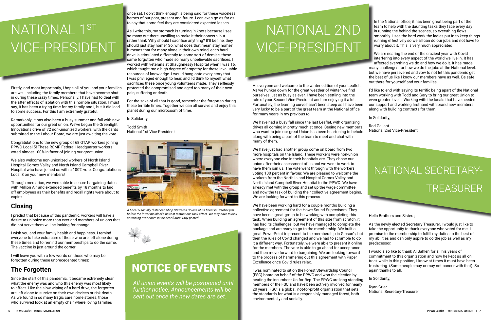Firstly, and most importantly, I hope all of you and your families are well including the family members that have become shut in during these crazy times. Personally, I have had to deal with the after effects of isolation with this horrible situation. I must say, it has been a trying time for my family and I, but it did lead to some success. For this I am extremely grateful.

Remarkably, it has also been a busy summer and fall with new opportunities for our great union. We've begun the Greenlight Innovations drive of 72 non-unionized workers, with the cards submitted to the Labour Board, we are just awaiting the vote.

Congratulations to the new group of 68 GTAP workers joining PPWC Local 5! These RCMP Federal Headquarter workers voted almost 100% in favor of joining our great union.

We also welcome non-unionized workers of North Island Hospital Comox Valley and North Island Campbell River Hospital who have joined us with a 100% vote. Congratulations Local 8 on your new members!

Through mediation, we were able to secure bargaining dates with Million Air and extended benefits by 18 months to laid off employees as their benefits and recall rights were about to expire.

## **Closing**

I predict that because of this pandemic, workers will have a desire to unionize more than ever and members of unions that did not serve them will be looking for change.

I wish you and your family health and happiness. I remind everyone to take extra care of those who are left alone during these times and to remind our memberships to do the same. The vaccine is just around the corner

# NATIONAL 1ST VICE-PRESIDENT

I will leave you with a few words on those who may be forgotten during these unprecedented times:

## **The Forgotten**

Since the start of this pandemic, it became extremely clear what the enemy was and who this enemy was most likely to affect. Like the slow wiping of a hard drive, the forgotten are left alone to survive on their own devices or risk death. As we found in so many tragic care home stories, those who survived look at an empty chair where loving families

once sat. I don't think enough is being said for these voiceless heroes of our past, present and future. I can even go as far as to say that some feel they are considered expected losses.

As I write this, my stomach is turning in knots because I see so many out there unwilling to make it their concern, but rather think 'Why should I sacrifice anything? It'll be fine, they should just stay home.' So, what does that mean stay home? It means that for many alone in their own mind, each hard drive is stimulated differently to some sort of demise, these same forgotten who made so many unbelievable sacrifices. I worked with veterans at Shaughnessy Hospital when I was 16, which taught me a high degree of empathy for these invaluable resources of knowledge. I would hang onto every story that I was privileged enough to hear, and I'd think to myself what sacrifices these once young volunteers made. They selflessly protected the compromised and aged too many of their own pain, suffering or death.

For the sake of all that is good, remember the forgotten during these terrible times. Together we can all survive and enjoy this planet during our microcosm of time.

In the National office, it has been great being part of the team to help with the daunting tasks they face every day in running the behind the scenes, so everything flows smoothly. I see the hard work the ladies put in to keep things running effectively so we all can do our jobs and not have to worry about it. This is very much appreciated.

In Solidarity,

Todd Smith National 1st Vice-President

# NATIONAL SECRETARY-TREASURER

# NATIONAL 2ND VICE-PRESIDENT



*A Local 5 socially distanced Shop Stewards Course at its finest in October just before the lower mainlanf's newest restrictions took effect. We may have to look at training over Zoom in the near future. Stay posted!*



*All union events will be postponed until further notice. Announcements will be sent out once the new dates are set.* 

Hi everyone and welcome to the winter edition of your Leaflet. As we hunker down for the great weather of winter, we find ourselves just as busy as ever. I have been settling into the role of your Second Vice-President and am enjoying it a lot. Fortunately, the learning curve hasn't been steep as I have been very lucky to be a part of the great team at the National office for many years in my previous roll.

We have had a busy fall since the last Leaflet, with organizing drives all coming in pretty much at once. Seeing new members who want to join our great Union has been heartening to behold along with being a part of the team to meet and chat with many of them.

We have just had another group come on board from two more hospitals on the Island. These workers were non-union where everyone else in their hospitals are. They chose our union after their assessment of us and we went to work to have them join us. The vote went through with the workers voting 100 percent in favour. We are pleased to welcome the workers from the North Island Hospital Comox Valley and North Island Campbell River Hospital to the PPWC. We have already met with the group and set up the wage committee and now the task of building their collective agreement begins. We are looking forward to this process.

We have been working hard for a couple months building a collective agreement for the Howe Sound Supervisors. They have been a great group to be working with completing this task. When building an agreement of this size from scratch, it has had its challenges, but we have managed to complete the package and are ready to go to the membership. We built a great PowerPoint to present to the membership in Gibson's, but then the rules of Covid changed and we had to scramble to do it a different way. Fortunately, we were able to present it online for the members. The vote is able to go ahead for acceptance and then move forward to bargaining. We are looking forward to the process of hammering out this agreement with Paper Excellence once Covid rules relax. I was nominated to sit on the Forest Stewardship Council Hello Brothers and Sisters, As the newly elected Secretary Treasurer, I would just like to take the opportunity to thank everyone who voted for me. I promise to the membership to fulfill my duties to the best of my abilities and can only aspire to do the job as well as my predecessor. I would also like to thank Al Sahlen for all his years of commitment to this organization and how he kept us all on track while in this position, I know at times it must have been frustrating. (Some people may or may not concur with that). So again thanks to all.

We are nearing the end of the craziest year with Covid interfering into every aspect of the world we live in. It has affected everything we do and how we do it. It has made many challenges for how we do the jobs at the National level, but we have persevered and vow to not let this pandemic get the best of us like I know our members have as well. Be safe out there for yourself and your families.

(FSC) board on behalf of the PPWC and won the election by beating the incumbent Unifor Rep. The PPWC are long standing members of the FSC and have been actively involved for nearly 20 years. FSC is a global, not-for-profit organization that sets the standards for what is a responsibly managed forest, both environmentally and socially. In Solidarity, Ryan Grier National Secretary-Treasurer

I'd like to end with saying its terrific being apart of the National team working with Todd and Gary to bring our great Union to even greater levels. Working with the locals that have needed our support and working firsthand with brand new members along with building contracts for them.

In Solidarity,

Rod Gallant National 2nd Vice-President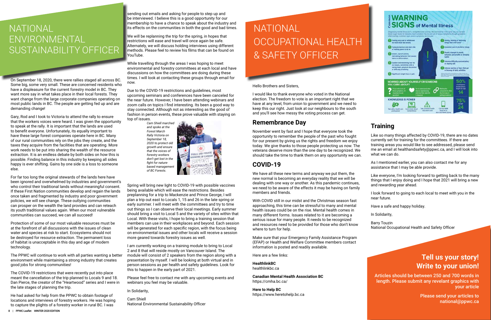On September 18, 2020, there were rallies staged all across BC. Some big, some very small. These are concerned residents who have a displeasure for the current forestry model in BC. They want more say in what takes place in their local forests. They want change from the large corporate companies operating on most public lands in BC. The people are getting fed up and are demanding change!

Gary, Rod and I took to Victoria to attend the rally to ensure that the workers voices were heard. I was given the opportunity to speak at the rally. It is important that the lands are used to benefit everyone. Unfortunately, its equally important to have these large forest companies operate here in BC. Many of our rural communities rely on the jobs they create, and the taxes they acquire from the facilities that are operating. More work needs to be put into sharing the wealth of the resource extraction. It is an endless debate by both sides on how this is possible. Finding balance in this industry by keeping all sides happy is ever shifting. Gains by one side is a loss to someone else.

For far too long the original stewards of the lands here have been ignored and overwhelmed by industries and government's who control their traditional lands without meaningful consent. If these First Nation communities develop and regain the lands once taken and fragmented by industry and poor government policies, we will see change. These outlying communities can prosper on the wealth the land provides and can reteach its youth traditional values again. When our most vulnerable communities can succeed, we can all succeed!

Protection of some of our most valuable resources must be at the forefront of all discussions with the issues of clean water and species at risk to start. Ecosystems should not be destroyed for resource extraction. The permanent loss of habitat is unacceptable in this day and age of modern technology.

The PPWC will continue to work with all parties wanting a better environment while maintaining a strong industry that creates good jobs for strong communities!

The COVID-19 restrictions that were recently put into place meant the cancellation of the trip planned to Locals 9 and 18. Dan Pierce, the creator of the "Heartwood" series and I were in the late stages of planning the trip.

He had asked for help from the PPWC to obtain footage of locations and interviews of forestry workers. He was hoping to capture the plights of a forestry worker in rural BC. I was

sending out emails and asking for people to step up and be interviewed. I believe this is a good opportunity for our membership to have a chance to speak about the industry and its effects on the communities in both the good and bad times.

> November went by fast and I hope that everyone took the opportunity to remember the people of the past who fought for our present by giving us the rights and freedom we enjoy today. We give thanks to those people protecting us now. The veterans deserve more than the one day to be recognized. should take the time to thank them on any opportunity we  $c<sub>i</sub>$

We will be replanning the trip for the spring, in hopes that restrictions will ease and travel will once again be safe. Alternately, we will discuss holding interviews using different methods. Please feel to review his films that can be found on YouTube.

While travelling through the areas I was hoping to meet environmental and forestry committees at each local and have discussions on how the committees are doing during these times. I will look at contacting these groups through email for now.

> With COVID still in our midst and the Christmas season fast approaching, this time can be stressful to many and mental health issues could be on the rise. Mental health comes in many different forms. Issues related to it are becoming a serious issue for many people. It needs to be recognized and resources need to be provided for those who don't know where to turn for help.

Due to the COVID-19 restrictions and guidelines, most upcoming seminars and conferences have been canceled for the near future. However, I have been attending webinars and zoom calls on topics I find interesting. Its been a good way to stay connected. Although not as interesting as the good ol' fashion in person events, these prove valuable with staying on top of issues.

Spring will bring new light to COVID-19 with possible vaccines being available which will ease the restrictions. Besides preplanning for a trip to Mackenzie and Prince George, I will plan a trip out east to Locals 1, 15 and 26 in the late spring or early summer. I will meet with the committees and try to time out things so I can observe their local meetings. Early summer should bring a visit to Local 5 and the variety of sites within that Local. With these visits, I hope to bring a training session that members can use in their workplaces and beyond. Each session will be generated for each specific region, with the focus being on environmental issues and other locals will receive a session more geared towards forestry issues as well.

I am currently working on a training module to bring to Local 2 and 8 that will reside mostly on Vancouver Island. The module will consist of 2 speakers from the region along with a presentation by myself. I will be looking at both virtual and in person sessions as per health and safety guidelines. Look for this to happen in the early part of 2021.

Please feel free to contact me with any upcoming events and webinars you feel may be valuable.

In Solidarity,

Cam Shiell National Environmental Sustainability Officer

## NATIONAL ENVIRONMENTAL SUSTAINABILITY OFFICER

# NATIONAL OCCUPATIONAL HEALTH & SAFETY OFFICER

Hello Brothers and Sisters,

I would like to thank everyone who voted in the National election. The freedom to vote is an important right that we have at any level, from union to government and we need to keep this our right. Just look at our neighbours to the south and you'll see how messy the voting process can get.

### **Remembrance Day**

## **COVID-19**

We have all these new terms and anyway we put them, the new normal is becoming an everyday reality that we will be dealing with one way or another. As this pandemic continue we need to be aware of the effects it may be having on fam members and friends.

Make sure that your Emergency Family Assistance Program (EFAP) or Health and Welfare Committee members contact information is posted and readily available.

Here are a few links:

#### **HealthlinkBC**

healthlinkbc.ca

**Canadian Mental Health Association BC**  https://cmha.bc.ca/

**Here to Help BC**  https://www.heretohelp.bc.ca



## **Training**

| y<br>he<br>Nе<br>an. | Like so many things affected by COVID-19, there are no dates<br>currently set for training for the committees. If there are<br>training areas you would like to see addressed, please send<br>me an email at healthandsafety@ppwc.ca, and I will look into<br>what we can do. |
|----------------------|-------------------------------------------------------------------------------------------------------------------------------------------------------------------------------------------------------------------------------------------------------------------------------|
|                      | As I mentioned earlier, you can also contact me for any<br>assistance that I may be able provide.                                                                                                                                                                             |
| ؛S,<br>ily           | Like everyone, I'm looking forward to getting back to the many<br>things that I enjoy doing and I hope that 2021 will bring a new<br>and rewarding year ahead.                                                                                                                |
|                      | I look forward to going to each local to meet with you in the<br>near future.                                                                                                                                                                                                 |
|                      | Have a safe and happy holiday.                                                                                                                                                                                                                                                |
|                      | In Solidarity,                                                                                                                                                                                                                                                                |
| N                    | <b>Barry Touzin</b><br>National Occupational Health and Safety Officer                                                                                                                                                                                                        |
|                      |                                                                                                                                                                                                                                                                               |

## **Tell us your story! Write to your union!**

Articles should be between 250 and 700 words in length. Please submit any revelant graphics with your article

> Please send your articles to national@ppwc.ca

*Cam Shiell marched and spoke at the Forest March Rally Victoria on September 18, 2020 to protect old growth and ensure that the voices of forestry workers don't get lost in the fight for naturebased management of BC Forests.*

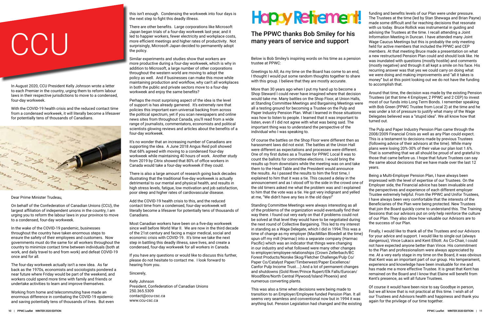# **CCU**

In August 2020, CCU President Kelly Johnson wrote a letter to each Premier in the country, urging them to reform labour laws in their respective jurisdictions to move to a condensed, four-day workweek.

With the COVID-19 health crisis and the reduced contact time from a condensed workweek, it will literally become a lifesaver for potentially tens of thousands of Canadians.



Dear Prime Minister Trudeau,

On behalf of the Confederation of Canadian Unions (CCU), the largest affiliation of independent unions in the country, I am urging you to reform the labour laws in your province to move to a condensed, four-day workweek.

In the wake of the COVID-19 pandemic, businesses throughout the country have taken enormous steps to ensure the safety of their employees and customers. Now governments must do the same for all workers throughout the country to minimize contact time between individuals (both at work, and daily travel to and from work) and defeat COVID-19 once and for all.

The four-day workweek actually isn't a new idea. As far back as the 1970s, economists and sociologists pondered a near future where Friday would be part of the weekend, and workers could spend more time with family and friends or undertake activities to learn and improve themselves.

Working from home and telecommuting have made an enormous difference in combating the COVID-19 epidemic and saving potentially tens of thousands of lives. But even this isn't enough. Condensing the workweek into four days is the next step to fight this deadly illness.

There are other benefits. Large corporations like Microsoft Japan began trials of a four-day workweek last year, and it led to happier workers, fewer electricity and workplace costs, more efficient meetings and higher rates of productivity. Not surprisingly, Microsoft Japan decided to permanently adopt the policy.

Similar experiments and studies show that workers are more productive during a four-day workweek, which is why in addition to Microsoft, a large number of other corporations throughout the western world are moving to adopt the policy as well. And if businesses can make this move while maintaining production and workflow, why can't all workplaces in both the public and private sectors move to a four-day workweek and enjoy the same benefits?

Perhaps the most surprising aspect of the idea is the level of support is has already garnered. It's extremely rare that policies this important earn universal backing from across the political spectrum, yet if you scan newspapers and online news sites from throughout Canada, you'll read from a wide range of journalists, commentators, economists and political scientists glowing reviews and articles about the benefits of a four-day workweek.

It's no wonder that an increasing number of Canadians are supporting the idea. A June 2018 Angus Reid poll showed that 68% agreed with moving to a condensed four-day workweek while maintaining 40 hours of work. Another study from 2019 by Citrix showed that 80% of office workers in Canada would take a four-day workweek if they could.

There is also a large amount of research going back decades illustrating that the traditional five-day workweek is actually detrimental to our mental and physical health, and results in high stress levels, fatigue, low motivation and job satisfaction, poor sleep and higher rates of cardiovascular disease.

Add the COVID-19 health crisis to this, and the reduced contact time from a condensed, four-day workweek will literally become a lifesaver for potentially tens of thousands of Canadians.

Most Canadian workers have been on a five-day workweek since well before World War II. We are now in the third decade of the 21st century and facing a major medical, social and economic crisis with COVID-19. It's time we take the next step in battling this deadly illness, save lives, and create a condensed, four-day workweek for all workers in Canada.

If you have any questions or would like to discuss this further, please do not hesitate to contact me. I look forward to hearing from you.

Sincerely,

Kelly Johnson President, Confederation of Canadian Unions 250.365.5309 contact@ccu-csc.ca www.ccu-csc.ca

# **Hopy Retirement!**

#### The PPWC thanks Bob Smiley for his many years of service and support

Below is Bob Smiley's inspiring words on his time as a pension trustee at PPWC:

Greetings to All; As my time on the Board has come to an end, I thought I would put some random thoughts together to share with this group. I believe that they are mostly accurate.

Of course the battles on the Shop Floor were different then as harassment laws did not exist. The battles at the Union Hall were different as expectations and processes were different. One of my first duties as a Trustee for PPWC Local 8 was to count the ballots for committee elections. I would bring the results up from downstairs while the meeting was on and take them to the Head Table and the President would announce the results. As I passed the results to him the first time, I explained to him that it was a tie. This caused a delay in the announcement and as I stood off to the side in the crowd one of the old timers asked me what the problem was and I explained to him that the vote was a tie. He got very indignant and yelled at me, "We didn't have any ties in the old days!"

More than 30 years ago when I put my hand up to become a Shop Steward I could never have imagined where that decision would take me. Many battles on the Shop Floor, at Union Halls, at Standing Committee Meetings and Bargaining Meetings were all a testing ground for becoming a Trustee on the Pulp and Paper Industry Pension Plan. What I learned in those situations was how to listen to people. I learned that it was important to listen, even if I did not agree with what was being said. The important thing was to understand the perspective of the individual who I was speaking to. Around that time, the decision was made by the existing Pension Trustees (at that time 4 Employer, 2 PPWC and 2 CEP) to invest most of our funds into Long Term Bonds. I remember speaking with Bob Green (PPWC Trustee from Local 2) at the time and he was under a lot of pressure to justify what many of the Wage Delegates believed was a "stupid idea". We all know how that turned out. The Pulp and Paper Industry Pension Plan came through the

funding and benefits levels of our Plan were under pressure. The Trustees at the time (led by Stan Shewaga and Brian Payne) made some difficult and far reaching decisions that resonate with us today. Bruce Rollick was instrumental in guiding and advising the Trustees at the time. I recall attending a Joint Information Meeting in Duncan. I have attended many Joint Wage Caucus Meetings but this is probably the only meeting held for active members that included the PPWC and CEP members. At that meeting Bruce made a presentation on what a new restructured Pension Plan could and should look like. He was inundated with questions (mostly hostile) and comments (mostly negative) and through it all kept a smile on his face. His recurring answer was that yes we could carry on doing what we were doing and making improvements and "all it takes is money" but at this point looking out we do not have the funding to accomplish that.

Standing Committee Meetings were always interesting as all of the problems of the organization would eventually find their way there. I found out very early on that if problems could not be solved at that level they would have to be negotiated during the next round of Collective Bargaining. This led to my interest in standing as a Wage Delegate, which I did in 1994.This was a time of change as my employer (MacMillan Bloedell at the time) spun off my mill (Harmac) into a separate company (Harmac Pacific) which was an indicator that things were changing in our industry and what followed were many other changes to employer/employee relationships (Crown Zellerbach/BC Forest Products/Norske Skog/Fletcher Challenge/Pulp Co/ Paper Co/Catalyst Paper/Timberwest/Paper Excellence/ Canfor Pulp Income Trust....) And a lot of permanent changes and shutdowns (Gold River/Prince Rupert/Elk Falls/Eurocan/ Woodfibre/North Central Plywood/Island Phoenix) and numerous converting plants. Sessions that our advisors put on only help reinforce the culture of our Plan. They also show how valuable our Advisors are to the success of our Plan. Finally, I would like to thank all of the Trustees and our Advisors for your advice and support. I would like to single out (always dangerous), Vince Lukacs and Kent Elliott. As Co-Chair, I could not have expected anyone better than Vince. His commitment to the Plan and professionalism were always appreciated by me. At a very early stage in my time on the Board, it was obvious that Kent was an important part of our group. His temperament, experience and knowledge have been invaluable for me and has made me a more effective Trustee. It is great that Kent has remained on the Board and I know that Elaine will benefit from Kent's presence, as will all future Trustees.

This was also a time when decisions were being made to transition to an Employer/Employee funded Pension Plan. It all seems very seamless and conventional now but in 1994 it was anything but. Pension Legislation had changed and the existing Of course it would have been nice to say Goodbye in person, but we all know that is not practical at this time. I wish all of our Trustees and Advisors health and happiness and thank you again for the privilege of our time together.



2008/2009 Financial Crisis as well as any Plan could expect. This is a testament to decisions made by previous Trustees (following advice of their advisors at the time). While many plans were losing 20%-30% of their value our plan lost 1.6%. That is something that we all should be proud of and grateful to those that came before us. I hope that future Trustees can say the same about decisions that we have made over the last 12 years.

Being a Multi-Employer Pension Plan, I have always been impressed with the level of expertise of our Trustees. On the Employer side, the Financial advice has been invaluable and the perspectives and experience of each different employer Trustee extremely helpful. From the PPWC and Unifor Trustees, I have always been very comfortable that the interests of the Beneficiaries of the Plan were being protected. New Trustees that join the Board quickly come to understand this. The Training